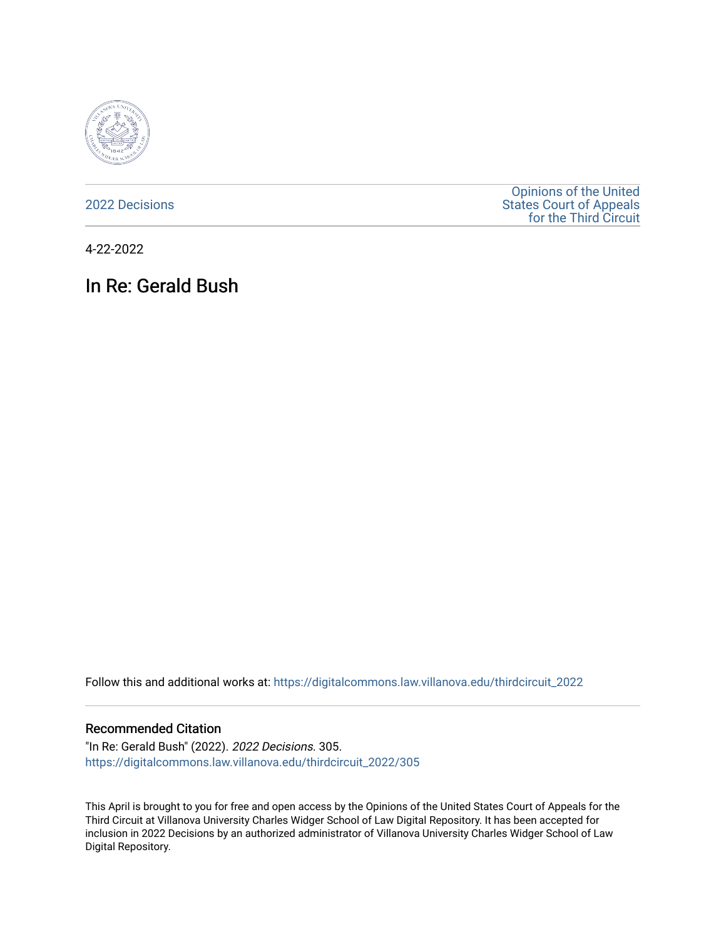

[2022 Decisions](https://digitalcommons.law.villanova.edu/thirdcircuit_2022)

[Opinions of the United](https://digitalcommons.law.villanova.edu/thirdcircuit)  [States Court of Appeals](https://digitalcommons.law.villanova.edu/thirdcircuit)  [for the Third Circuit](https://digitalcommons.law.villanova.edu/thirdcircuit) 

4-22-2022

# In Re: Gerald Bush

Follow this and additional works at: [https://digitalcommons.law.villanova.edu/thirdcircuit\\_2022](https://digitalcommons.law.villanova.edu/thirdcircuit_2022?utm_source=digitalcommons.law.villanova.edu%2Fthirdcircuit_2022%2F305&utm_medium=PDF&utm_campaign=PDFCoverPages) 

#### Recommended Citation

"In Re: Gerald Bush" (2022). 2022 Decisions. 305. [https://digitalcommons.law.villanova.edu/thirdcircuit\\_2022/305](https://digitalcommons.law.villanova.edu/thirdcircuit_2022/305?utm_source=digitalcommons.law.villanova.edu%2Fthirdcircuit_2022%2F305&utm_medium=PDF&utm_campaign=PDFCoverPages)

This April is brought to you for free and open access by the Opinions of the United States Court of Appeals for the Third Circuit at Villanova University Charles Widger School of Law Digital Repository. It has been accepted for inclusion in 2022 Decisions by an authorized administrator of Villanova University Charles Widger School of Law Digital Repository.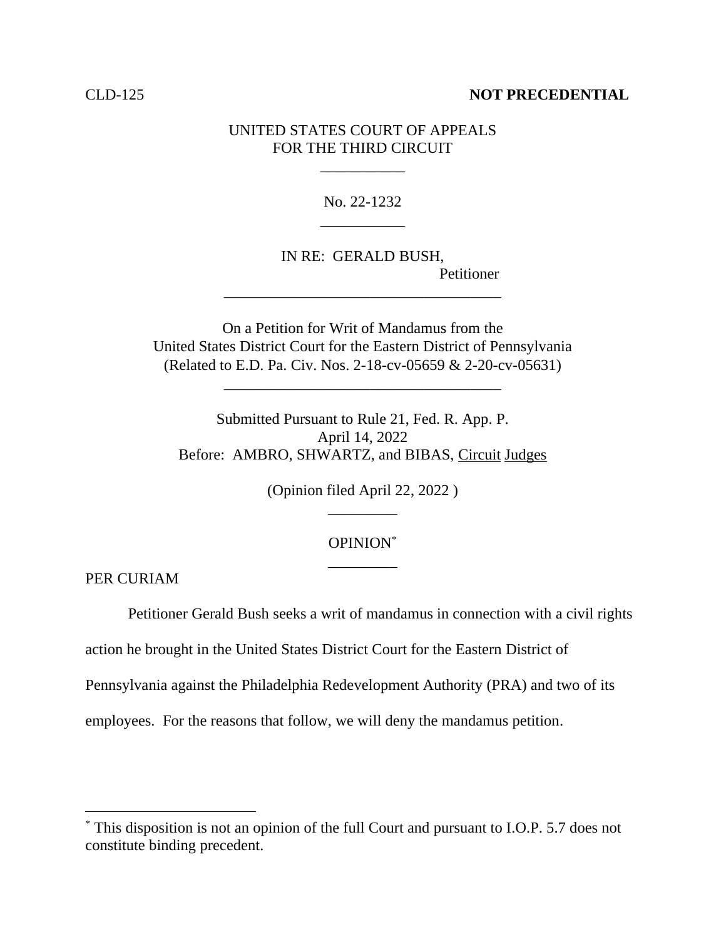### CLD-125 **NOT PRECEDENTIAL**

## UNITED STATES COURT OF APPEALS FOR THE THIRD CIRCUIT

\_\_\_\_\_\_\_\_\_\_\_

No. 22-1232 \_\_\_\_\_\_\_\_\_\_\_

IN RE: GERALD BUSH, Petitioner \_\_\_\_\_\_\_\_\_\_\_\_\_\_\_\_\_\_\_\_\_\_\_\_\_\_\_\_\_\_\_\_\_\_\_\_

On a Petition for Writ of Mandamus from the United States District Court for the Eastern District of Pennsylvania (Related to E.D. Pa. Civ. Nos. 2-18-cv-05659 & 2-20-cv-05631)

\_\_\_\_\_\_\_\_\_\_\_\_\_\_\_\_\_\_\_\_\_\_\_\_\_\_\_\_\_\_\_\_\_\_\_\_

Submitted Pursuant to Rule 21, Fed. R. App. P. April 14, 2022 Before: AMBRO, SHWARTZ, and BIBAS, Circuit Judges

> (Opinion filed April 22, 2022 ) \_\_\_\_\_\_\_\_\_

## OPINION\* \_\_\_\_\_\_\_\_\_

PER CURIAM

Petitioner Gerald Bush seeks a writ of mandamus in connection with a civil rights

action he brought in the United States District Court for the Eastern District of

Pennsylvania against the Philadelphia Redevelopment Authority (PRA) and two of its

employees. For the reasons that follow, we will deny the mandamus petition.

<sup>\*</sup> This disposition is not an opinion of the full Court and pursuant to I.O.P. 5.7 does not constitute binding precedent.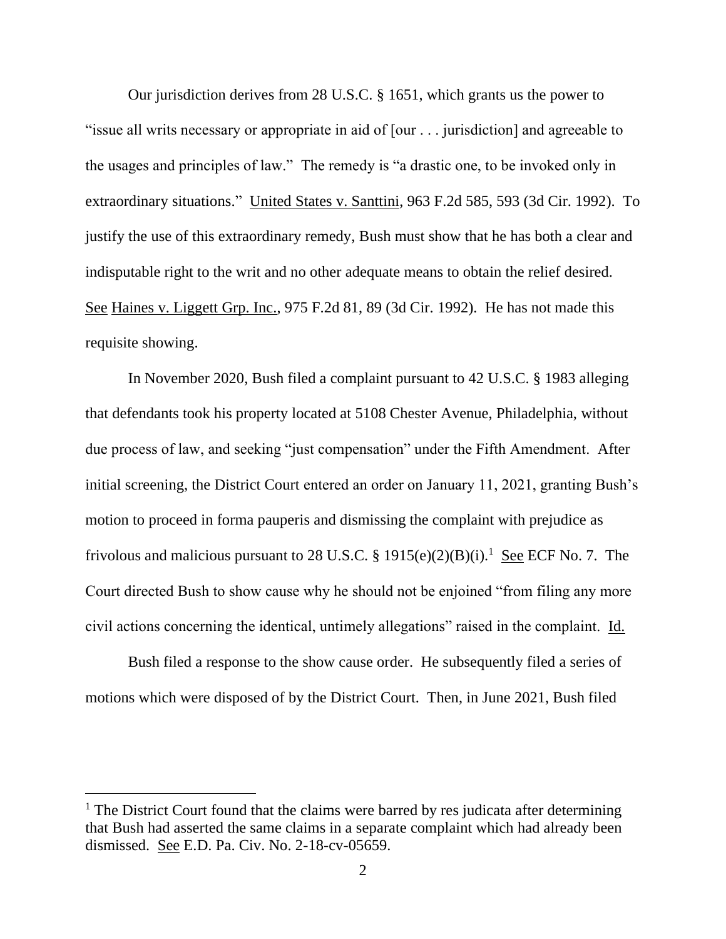Our jurisdiction derives from 28 U.S.C. § 1651, which grants us the power to "issue all writs necessary or appropriate in aid of [our . . . jurisdiction] and agreeable to the usages and principles of law." The remedy is "a drastic one, to be invoked only in extraordinary situations." United States v. Santtini, 963 F.2d 585, 593 (3d Cir. 1992). To justify the use of this extraordinary remedy, Bush must show that he has both a clear and indisputable right to the writ and no other adequate means to obtain the relief desired. See Haines v. Liggett Grp. Inc., 975 F.2d 81, 89 (3d Cir. 1992). He has not made this requisite showing.

In November 2020, Bush filed a complaint pursuant to 42 U.S.C. § 1983 alleging that defendants took his property located at 5108 Chester Avenue, Philadelphia, without due process of law, and seeking "just compensation" under the Fifth Amendment. After initial screening, the District Court entered an order on January 11, 2021, granting Bush's motion to proceed in forma pauperis and dismissing the complaint with prejudice as frivolous and malicious pursuant to 28 U.S.C. §  $1915(e)(2)(B)(i)$ .<sup>1</sup> See ECF No. 7. The Court directed Bush to show cause why he should not be enjoined "from filing any more civil actions concerning the identical, untimely allegations" raised in the complaint. Id.

Bush filed a response to the show cause order. He subsequently filed a series of motions which were disposed of by the District Court. Then, in June 2021, Bush filed

 $<sup>1</sup>$  The District Court found that the claims were barred by res judicata after determining</sup> that Bush had asserted the same claims in a separate complaint which had already been dismissed. See E.D. Pa. Civ. No. 2-18-cv-05659.